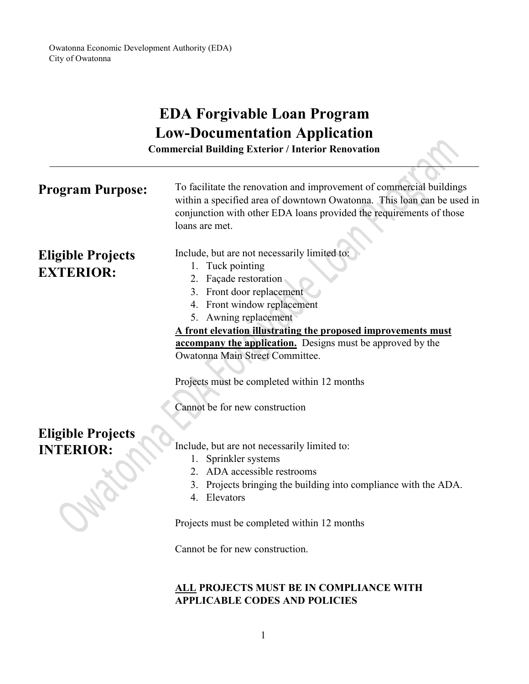|                                                                                                   | <b>EDA Forgivable Loan Program</b>                                                                                                                                                                                                                                                                                                                                                                                                                      |  |  |  |  |
|---------------------------------------------------------------------------------------------------|---------------------------------------------------------------------------------------------------------------------------------------------------------------------------------------------------------------------------------------------------------------------------------------------------------------------------------------------------------------------------------------------------------------------------------------------------------|--|--|--|--|
| <b>Low-Documentation Application</b><br><b>Commercial Building Exterior / Interior Renovation</b> |                                                                                                                                                                                                                                                                                                                                                                                                                                                         |  |  |  |  |
| <b>Program Purpose:</b>                                                                           | To facilitate the renovation and improvement of commercial buildings<br>within a specified area of downtown Owatonna. This loan can be used in<br>conjunction with other EDA loans provided the requirements of those<br>loans are met.                                                                                                                                                                                                                 |  |  |  |  |
| <b>Eligible Projects</b><br><b>EXTERIOR:</b>                                                      | Include, but are not necessarily limited to:<br>Tuck pointing<br>1.<br>Façade restoration<br>2.<br>Front door replacement<br>3.<br>Front window replacement<br>4.<br>Awning replacement<br>5.<br>A front elevation illustrating the proposed improvements must<br><b>accompany the application.</b> Designs must be approved by the<br>Owatonna Main Street Committee.<br>Projects must be completed within 12 months<br>Cannot be for new construction |  |  |  |  |

# **Eligible Projects INTERIOR:**

Include, but are not necessarily limited to:

- 1. Sprinkler systems
- 2. ADA accessible restrooms
- 3. Projects bringing the building into compliance with the ADA.
- 4. Elevators

Projects must be completed within 12 months

Cannot be for new construction.

#### **ALL PROJECTS MUST BE IN COMPLIANCE WITH APPLICABLE CODES AND POLICIES**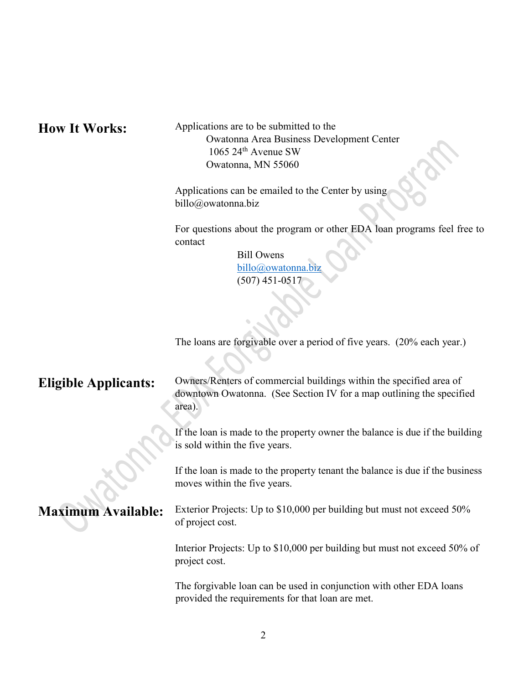**How It Works:** Applications are to be submitted to the Owatonna Area Business Development Center  $1065$  24<sup>th</sup> Avenue SW Owatonna, MN 55060

> Applications can be emailed to the Center by using billo@owatonna.biz

For questions about the program or other EDA loan programs feel free to contact

> Bill Owens billo@owatonna.bi (507) 451-0517

The loans are forgivable over a period of five years. (20% each year.)

**Eligible Applicants:** Owners/Renters of commercial buildings within the specified area of downtown Owatonna. (See Section IV for a map outlining the specified area).

> If the loan is made to the property owner the balance is due if the building is sold within the five years.

> If the loan is made to the property tenant the balance is due if the business moves within the five years.

**Maximum Available:** Exterior Projects: Up to \$10,000 per building but must not exceed 50% of project cost.

> Interior Projects: Up to \$10,000 per building but must not exceed 50% of project cost.

The forgivable loan can be used in conjunction with other EDA loans provided the requirements for that loan are met.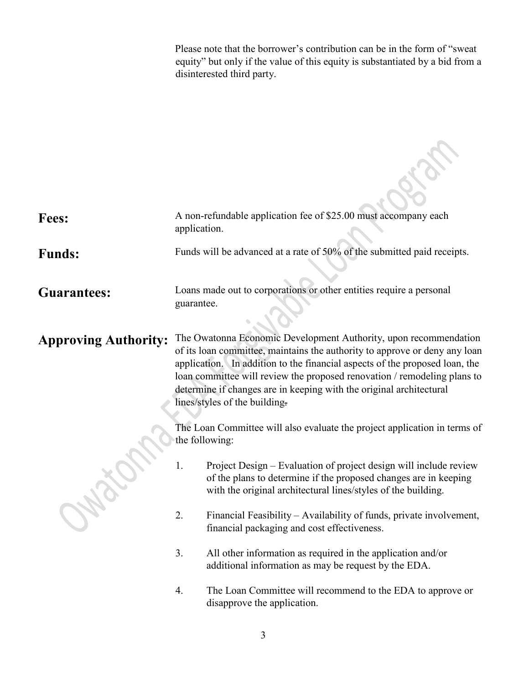Please note that the borrower's contribution can be in the form of "sweat equity" but only if the value of this equity is substantiated by a bid from a disinterested third party.

| <b>Fees:</b>                | A non-refundable application fee of \$25.00 must accompany each<br>application.                                                                                                                                                                                                                                                                                                                                   |  |  |  |  |
|-----------------------------|-------------------------------------------------------------------------------------------------------------------------------------------------------------------------------------------------------------------------------------------------------------------------------------------------------------------------------------------------------------------------------------------------------------------|--|--|--|--|
| <b>Funds:</b>               | Funds will be advanced at a rate of 50% of the submitted paid receipts.                                                                                                                                                                                                                                                                                                                                           |  |  |  |  |
| <b>Guarantees:</b>          | Loans made out to corporations or other entities require a personal<br>guarantee.                                                                                                                                                                                                                                                                                                                                 |  |  |  |  |
| <b>Approving Authority:</b> | The Owatonna Economic Development Authority, upon recommendation<br>of its loan committee, maintains the authority to approve or deny any loan<br>application. In addition to the financial aspects of the proposed loan, the<br>loan committee will review the proposed renovation / remodeling plans to<br>determine if changes are in keeping with the original architectural<br>lines/styles of the building. |  |  |  |  |
|                             | The Loan Committee will also evaluate the project application in terms of<br>the following:                                                                                                                                                                                                                                                                                                                       |  |  |  |  |
|                             | 1.<br>Project Design – Evaluation of project design will include review<br>of the plans to determine if the proposed changes are in keeping<br>with the original architectural lines/styles of the building.                                                                                                                                                                                                      |  |  |  |  |
|                             | 2.<br>Financial Feasibility – Availability of funds, private involvement,<br>financial packaging and cost effectiveness.                                                                                                                                                                                                                                                                                          |  |  |  |  |
|                             | 3.<br>All other information as required in the application and/or<br>additional information as may be request by the EDA.                                                                                                                                                                                                                                                                                         |  |  |  |  |
|                             | The Loan Committee will recommend to the EDA to approve or<br>4.<br>disapprove the application.                                                                                                                                                                                                                                                                                                                   |  |  |  |  |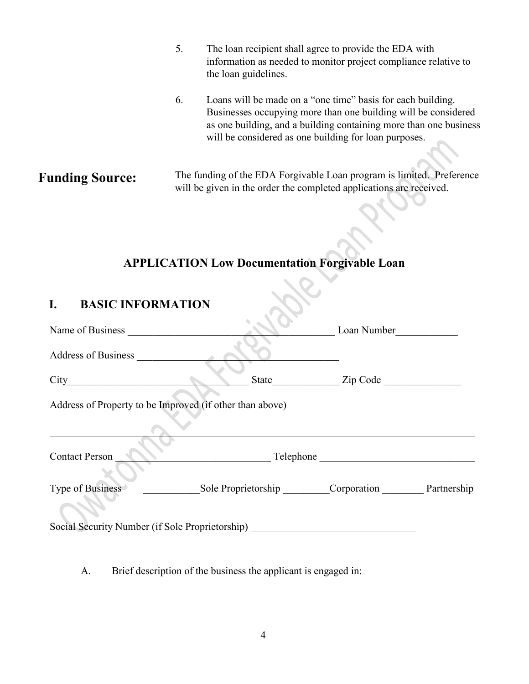- 5. The loan recipient shall agree to provide the EDA with information as needed to monitor project compliance relative to the loan guidelines.
- 6. Loans will be made on a "one time" basis for each building. Businesses occupying more than one building will be considered as one building, and a building containing more than one business will be considered as one building for loan purposes.
- **Funding Source:** The funding of the EDA Forgivable Loan program is limited. Preference will be given in the order the completed applications are received.

## **APPLICATION Low Documentation Forgivable Loan**

| I.<br><b>BASIC INFORMATION</b>                           |                                                                                  |             |  |
|----------------------------------------------------------|----------------------------------------------------------------------------------|-------------|--|
| Name of Business <b>Name of Business</b>                 |                                                                                  | Loan Number |  |
| Address of Business                                      |                                                                                  |             |  |
|                                                          |                                                                                  |             |  |
| Address of Property to be Improved (if other than above) |                                                                                  |             |  |
| <b>Contact Person</b>                                    |                                                                                  |             |  |
| Type of Business                                         | Sole Proprietorship Corporation Partnership                                      |             |  |
|                                                          | Social Security Number (if Sole Proprietorship) ________________________________ |             |  |

A. Brief description of the business the applicant is engaged in: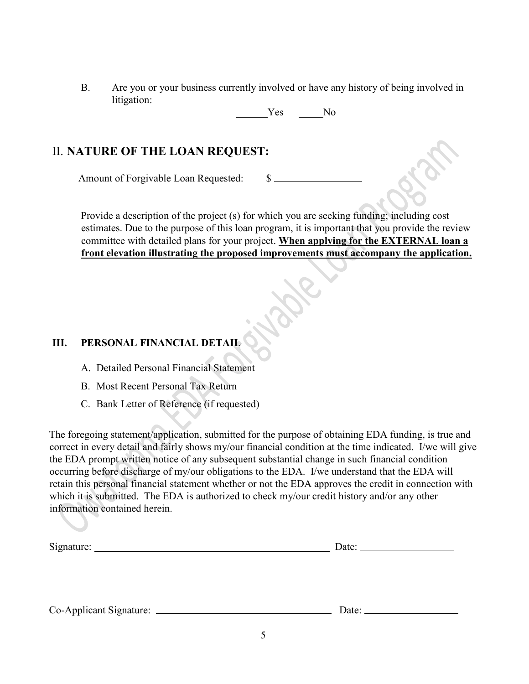B. Are you or your business currently involved or have any history of being involved in litigation:

Yes No

### II. **NATURE OF THE LOAN REQUEST:**

Amount of Forgivable Loan Requested:

Provide a description of the project (s) for which you are seeking funding; including cost estimates. Due to the purpose of this loan program, it is important that you provide the review committee with detailed plans for your project. **When applying for the EXTERNAL loan a front elevation illustrating the proposed improvements must accompany the application.**

#### **III. PERSONAL FINANCIAL DETAIL**

- A. Detailed Personal Financial Statement
- B. Most Recent Personal Tax Return
- C. Bank Letter of Reference (if requested)

The foregoing statement/application, submitted for the purpose of obtaining EDA funding, is true and correct in every detail and fairly shows my/our financial condition at the time indicated. I/we will give the EDA prompt written notice of any subsequent substantial change in such financial condition occurring before discharge of my/our obligations to the EDA. I/we understand that the EDA will retain this personal financial statement whether or not the EDA approves the credit in connection with which it is submitted. The EDA is authorized to check my/our credit history and/or any other information contained herein.

| Signature: | vate<br>$- - - -$ |
|------------|-------------------|
|            |                   |

Co-Applicant Signature: Date: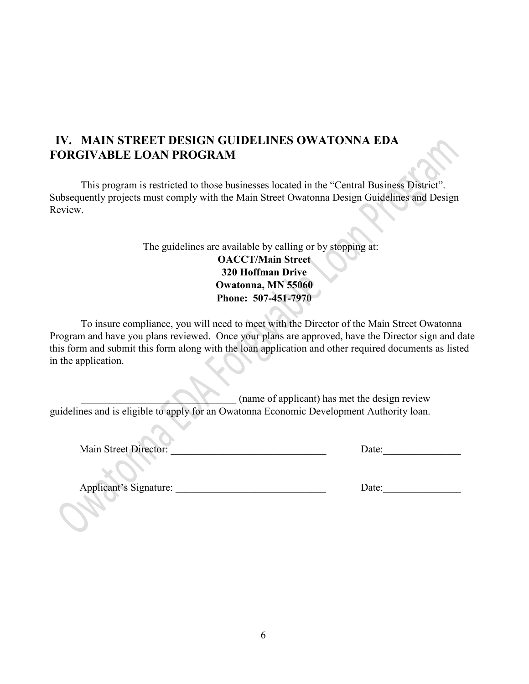## **IV. MAIN STREET DESIGN GUIDELINES OWATONNA EDA FORGIVABLE LOAN PROGRAM**

This program is restricted to those businesses located in the "Central Business District". Subsequently projects must comply with the Main Street Owatonna Design Guidelines and Design Review.

> The guidelines are available by calling or by stopping at: **OACCT/Main Street 320 Hoffman Drive Owatonna, MN 55060 Phone: 507-451-7970**

To insure compliance, you will need to meet with the Director of the Main Street Owatonna Program and have you plans reviewed. Once your plans are approved, have the Director sign and date this form and submit this form along with the loan application and other required documents as listed in the application.

\_\_\_\_\_\_\_\_\_\_\_\_\_\_\_\_\_\_\_\_\_\_\_\_\_\_\_\_\_\_ (name of applicant) has met the design review guidelines and is eligible to apply for an Owatonna Economic Development Authority loan.

Main Street Director: \_\_\_\_\_\_\_\_\_\_\_\_\_\_\_\_\_\_\_\_\_\_\_\_\_\_\_\_\_\_ Date:\_\_\_\_\_\_\_\_\_\_\_\_\_\_\_

| Jate: |  |  |  |
|-------|--|--|--|
|       |  |  |  |

Applicant's Signature: <br>
Date: